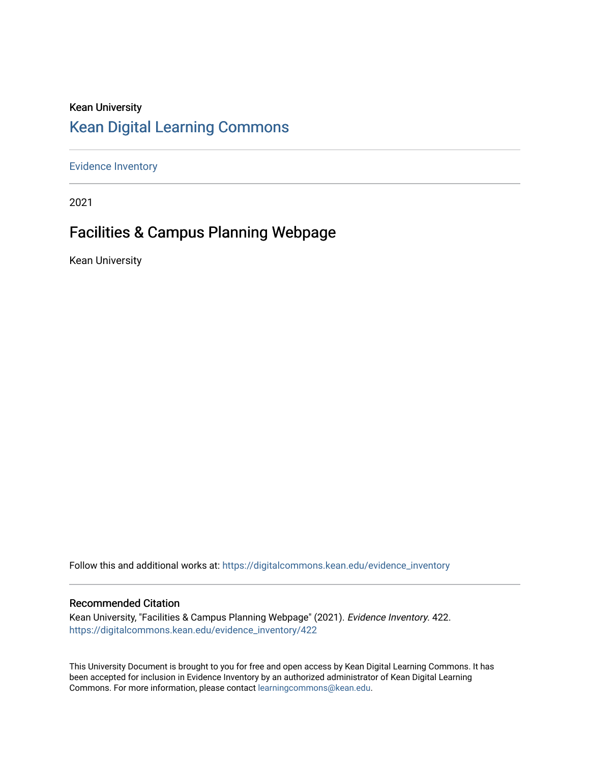### Kean University [Kean Digital Learning Commons](https://digitalcommons.kean.edu/)

[Evidence Inventory](https://digitalcommons.kean.edu/evidence_inventory) 

2021

### Facilities & Campus Planning Webpage

Kean University

Follow this and additional works at: [https://digitalcommons.kean.edu/evidence\\_inventory](https://digitalcommons.kean.edu/evidence_inventory?utm_source=digitalcommons.kean.edu%2Fevidence_inventory%2F422&utm_medium=PDF&utm_campaign=PDFCoverPages)

#### Recommended Citation

Kean University, "Facilities & Campus Planning Webpage" (2021). Evidence Inventory. 422. [https://digitalcommons.kean.edu/evidence\\_inventory/422](https://digitalcommons.kean.edu/evidence_inventory/422?utm_source=digitalcommons.kean.edu%2Fevidence_inventory%2F422&utm_medium=PDF&utm_campaign=PDFCoverPages)

This University Document is brought to you for free and open access by Kean Digital Learning Commons. It has been accepted for inclusion in Evidence Inventory by an authorized administrator of Kean Digital Learning Commons. For more information, please contact [learningcommons@kean.edu.](mailto:learningcommons@kean.edu)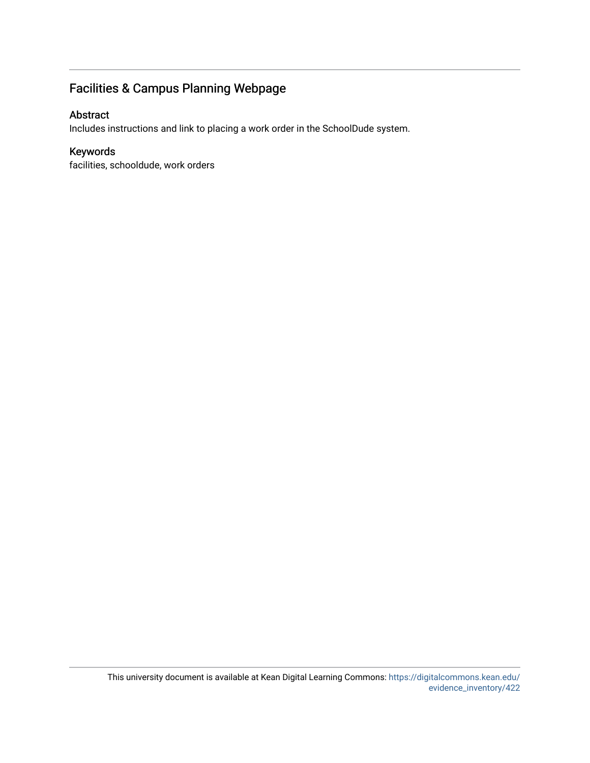### Facilities & Campus Planning Webpage

### Abstract

Includes instructions and link to placing a work order in the SchoolDude system.

### Keywords

facilities, schooldude, work orders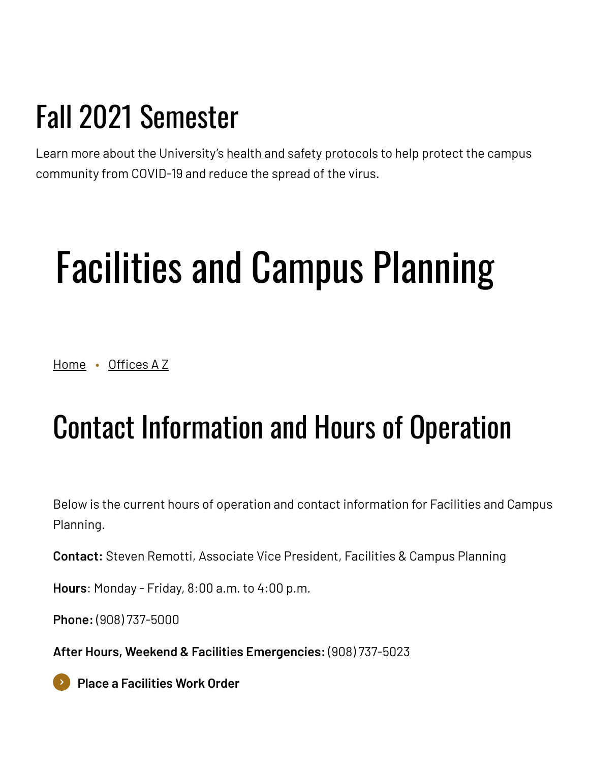## Fall 2021 Semester

Learn more about the University's health and safety [protocols](https://www.kean.edu/welcome-fall-2021-semester) to help protect the campus community from COVID-19 and reduce the spread of the virus.

# Facilities and Campus Planning

[Home](https://www.kean.edu/) • [Offices](https://www.kean.edu/offices) A Z

## Contact Information and Hours of Operation

Below is the current hours of operation and contact information for Facilities and Campus Planning.

**Contact:** Steven Remotti, Associate Vice President, Facilities & Campus Planning

**Hours**: Monday - Friday, 8:00 a.m. to 4:00 p.m.

**Phone:** (908) 737-5000

**After Hours, Weekend & Facilities Emergencies:** (908) 737-5023

**Place a [Facilities](https://www.myschoolbuilding.com/myschoolbuilding/mygateway.asp?acctnum=563152532) Work Order**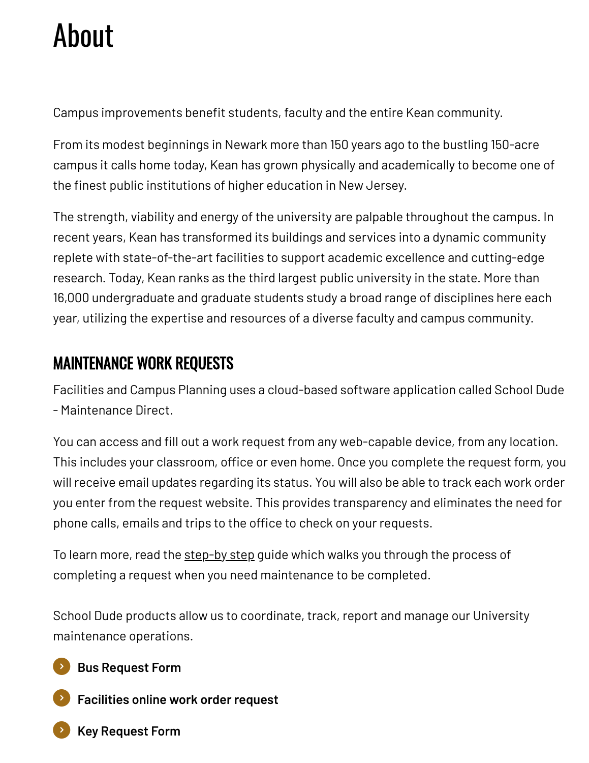# About

Campus improvements benefit students, faculty and the entire Kean community.

From its modest beginnings in Newark more than 150 years ago to the bustling 150-acre campus it calls home today, Kean has grown physically and academically to become one of the finest public institutions of higher education in New Jersey.

The strength, viability and energy of the university are palpable throughout the campus. In recent years, Kean has transformed its buildings and services into a dynamic community replete with state-of-the-art facilities to support academic excellence and cutting-edge research. Today, Kean ranks as the third largest public university in the state. More than 16,000 undergraduate and graduate students study a broad range of disciplines here each year, utilizing the expertise and resources of a diverse faculty and campus community.

### MAINTENANCE WORK REQUESTS

Facilities and Campus Planning uses a cloud-based software application called School Dude - Maintenance Direct.

You can access and fill out a work request from any web-capable device, from any location. This includes your classroom, office or even home. Once you complete the request form, you will receive email updates regarding its status. You will also be able to track each work order you enter from the request website. This provides transparency and eliminates the need for phone calls, emails and trips to the office to check on your requests.

To learn more, read the [step-by](https://www.kean.edu/media/msb-requester-guide-pdf) step guide which walks you through the process of completing a request when you need maintenance to be completed.

School Dude products allow us to coordinate, track, report and manage our University maintenance operations.

**Bus [Request](https://docs.google.com/forms/d/e/1FAIpQLScxORwJjw7SPVD988HCa90l8TtQrqVxyAnDmJ9LAGnzU2Nmkw/viewform) Form**

**[Facilities](https://www.myschoolbuilding.com/myschoolbuilding/mygateway.asp?acctnum=563152532) online work order request**

**Key [Request](https://script.google.com/a/macros/kean.edu/s/AKfycbzPfSdWV_Vdaz8eu9NtRbgGgvUZT23qgS4gqGhVLZ1e2PqhsDc/exec?action=sign&formId=16NitsDr-4MMZKcrh0GBBYdYWxMFNERnY2SMGeVG3ybQ&editorUUID=62b318f0-b3a2-417d-9388-58f9c8490470) Form**